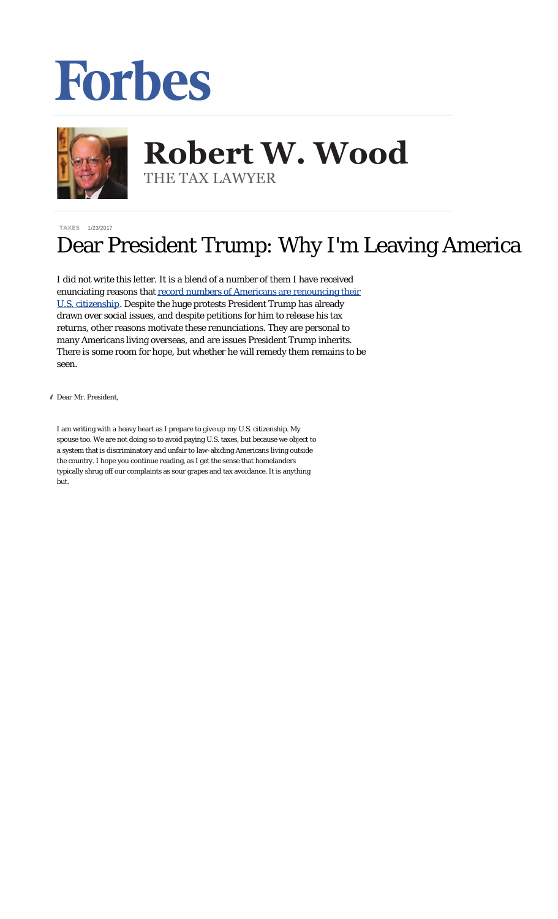## Forbes



## **Robert W. Wood Robert W. Wood** THE TAX LAWYER THE TAX LAWYER

[TAXES](http://www.forbes.com/taxes) 1/23/2017

## Dear President Trump: Why I'm Leaving America

I did not write this letter. It is a blend of a number of them I have received enunciating reasons that [record numbers of Americans are renouncing their](http://www.forbes.com/sites/robertwood/2016/02/06/record-numbers-renounce-their-u-s-citizenship/) [U.S. citizenship](http://www.forbes.com/sites/robertwood/2016/02/06/record-numbers-renounce-their-u-s-citizenship/). Despite the huge protests President Trump has already drawn over social issues, and despite petitions for him to release his tax returns, other reasons motivate these renunciations. They are personal to many Americans living overseas, and are issues President Trump inherits. There is some room for hope, but whether he will remedy them remains to be seen.

" Dear Mr. President,

I am writing with a heavy heart as I prepare to give up my U.S. citizenship. My spouse too. We are not doing so to avoid paying U.S. taxes, but because we object to a system that is discriminatory and unfair to law-abiding Americans living outside the country. I hope you continue reading, as I get the sense that homelanders typically shrug off our complaints as sour grapes and tax avoidance. It is anything but.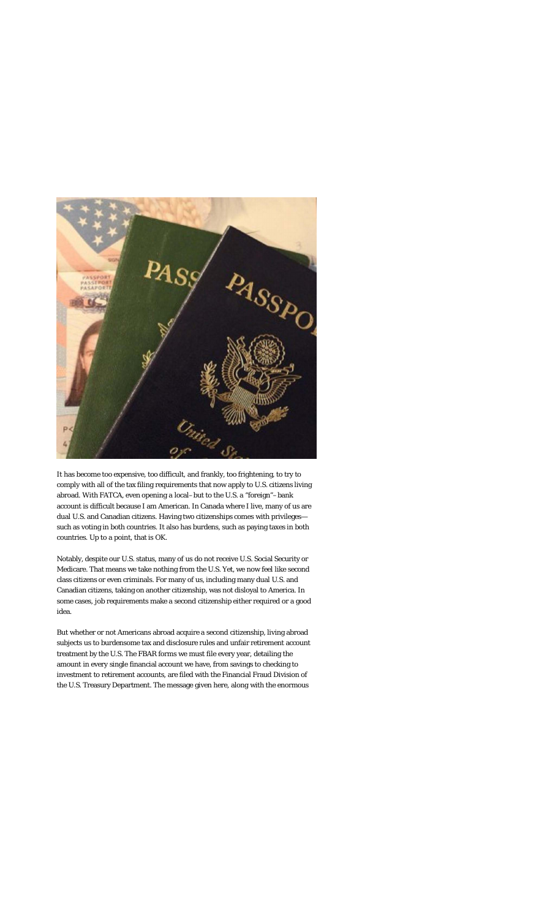

It has become too expensive, too difficult, and frankly, too frightening, to try to comply with all of the tax filing requirements that now apply to U.S. citizens living abroad. With FATCA, even opening a local–but to the U.S. a "foreign"–bank account is difficult because I am American. In Canada where I live, many of us are dual U.S. and Canadian citizens. Having two citizenships comes with privileges such as voting in both countries. It also has burdens, such as paying taxes in both countries. Up to a point, that is OK.

Notably, despite our U.S. status, many of us do not receive U.S. Social Security or Medicare. That means we take nothing from the U.S. Yet, we now feel like second class citizens or even criminals. For many of us, including many dual U.S. and Canadian citizens, taking on another citizenship, was not disloyal to America. In some cases, job requirements make a second citizenship either required or a good idea.

But whether or not Americans abroad acquire a second citizenship, living abroad subjects us to burdensome tax and disclosure rules and unfair retirement account treatment by the U.S. The FBAR forms we must file every year, detailing the amount in every single financial account we have, from savings to checking to investment to retirement accounts, are filed with the Financial Fraud Division of the U.S. Treasury Department. The message given here, along with the enormous